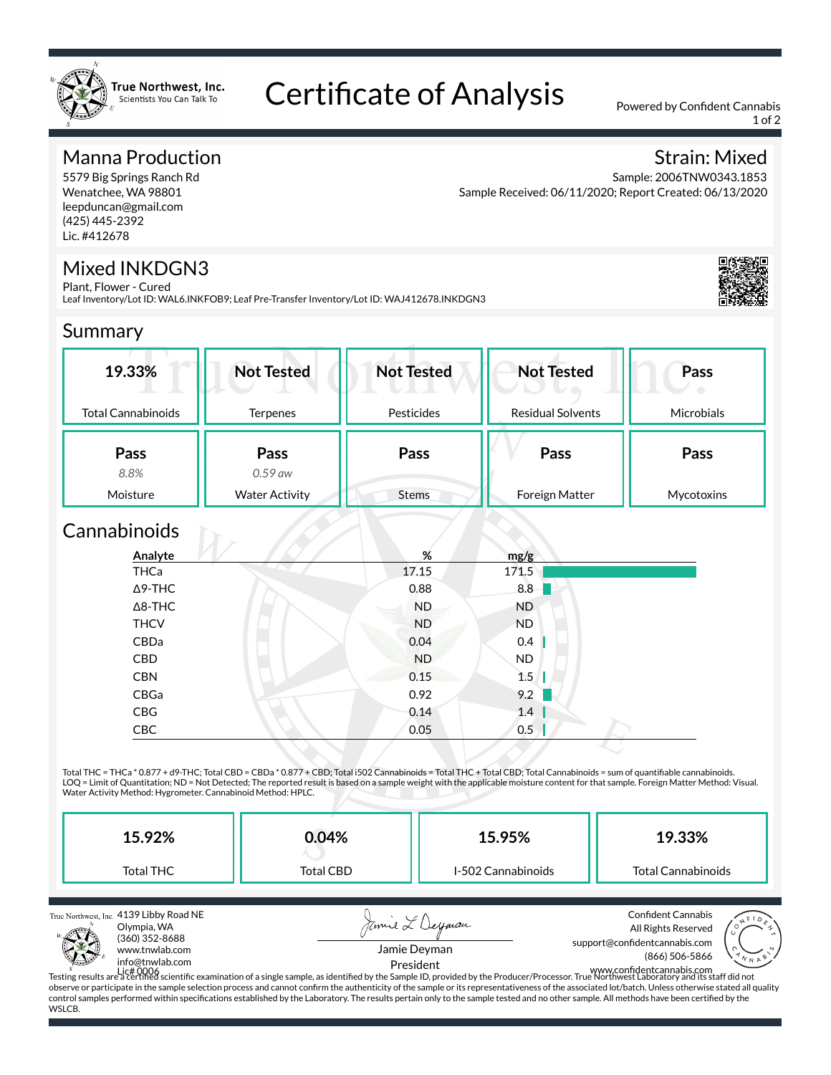

# Certificate of Analysis Powered by Confident Cannabis

1 of 2

Strain: Mixed

#### Manna Production

5579 Big Springs Ranch Rd Wenatchee, WA 98801 leepduncan@gmail.com (425) 445-2392 Lic. #412678

#### Sample: 2006TNW0343.1853 Sample Received: 06/11/2020; Report Created: 06/13/2020

#### Mixed INKDGN3

Plant, Flower - Cured Leaf Inventory/Lot ID: WAL6.INKFOB9; Leaf Pre-Transfer Inventory/Lot ID: WAJ412678.INKDGN3



#### Summary

| 19.33%                    | <b>Not Tested</b>     | <b>Not Tested</b> | <b>Not Tested</b>        | Pass              |
|---------------------------|-----------------------|-------------------|--------------------------|-------------------|
| <b>Total Cannabinoids</b> | <b>Terpenes</b>       | Pesticides        | <b>Residual Solvents</b> | <b>Microbials</b> |
| Pass                      | Pass                  | Pass              | Pass                     | Pass              |
| 8.8%                      | $0.59$ aw             |                   |                          |                   |
| Moisture                  | <b>Water Activity</b> | <b>Stems</b>      | Foreign Matter           | Mycotoxins        |

### Cannabinoids **Cannabinoids**

| THCa<br>171.5<br>17.15<br>0.88<br>8.8<br>$\Delta$ 9-THC<br>$\Delta$ 8-THC<br><b>ND</b><br><b>ND</b><br><b>THCV</b><br><b>ND</b><br><b>ND</b><br>CBDa<br>0.04<br>0.4<br><b>ND</b><br>CBD<br><b>ND</b><br>0.15<br>1.5<br><b>CBN</b><br>9.2<br>CBGa<br>0.92<br>CBG<br>1.4<br>0.14 | Analyte | %    | mg/g |  |
|--------------------------------------------------------------------------------------------------------------------------------------------------------------------------------------------------------------------------------------------------------------------------------|---------|------|------|--|
|                                                                                                                                                                                                                                                                                |         |      |      |  |
|                                                                                                                                                                                                                                                                                |         |      |      |  |
|                                                                                                                                                                                                                                                                                |         |      |      |  |
|                                                                                                                                                                                                                                                                                |         |      |      |  |
|                                                                                                                                                                                                                                                                                |         |      |      |  |
|                                                                                                                                                                                                                                                                                |         |      |      |  |
|                                                                                                                                                                                                                                                                                |         |      |      |  |
|                                                                                                                                                                                                                                                                                |         |      |      |  |
|                                                                                                                                                                                                                                                                                |         |      |      |  |
|                                                                                                                                                                                                                                                                                | CBC     | 0.05 | 0.5  |  |

Total THC = THCa \* 0.877 + d9-THC; Total CBD = CBDa \* 0.877 + CBD; Total i502 Cannabinoids = Total THC + Total CBD; Total Cannabinoids = sum of quantifiable cannabinoids. LOQ = Limit of Quantitation; ND = Not Detected; The reported result is based on a sample weight with the applicable moisture content for that sample. Foreign Matter Method: Visual.<br>Water Activity Method: Hygrometer. Cannab

| 15.92%    | 0.04%     | 15.95%             | 19.33%             |
|-----------|-----------|--------------------|--------------------|
| Total THC | Total CBD | I-502 Cannabinoids | Total Cannabinoids |

True Northwest, Inc. 4139 Libby Road NE



Jamie L'Deyman Jamie Deyman



President

Lic# 0006 Testing results are a certied scientic examination of a single sample, as identied by the Sample ID, provided by the Producer/Processor. True Northwest Laboratory and its staff did not www.condentcannabis.com observe or participate in the sample selection process and cannot confirm the authenticity of the sample or its representativeness of the associated lot/batch. Unless otherwise stated all quality control samples performed within specifications established by the Laboratory. The results pertain only to the sample tested and no other sample. All methods have been certified by the WSLCB.